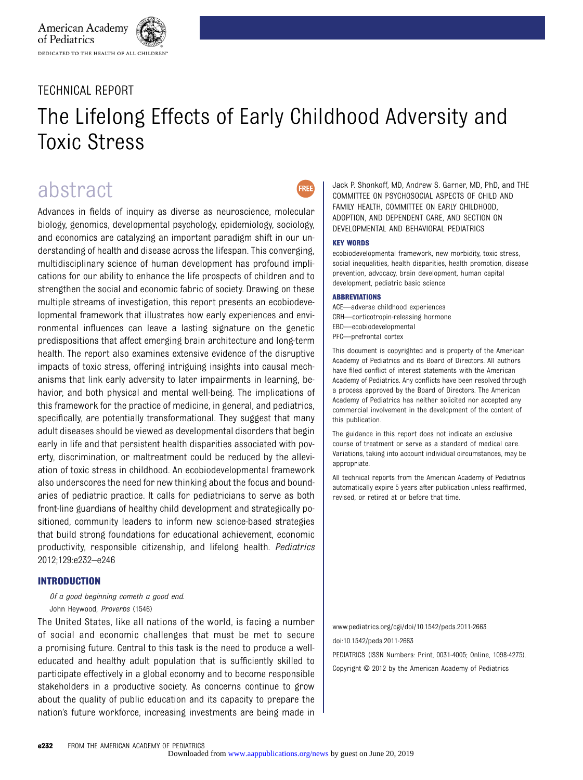

# TECHNICAL REPORT

# The Lifelong Effects of Early Childhood Adversity and Toxic Stress

**FREE** 

# abstract

Advances in fields of inquiry as diverse as neuroscience, molecular biology, genomics, developmental psychology, epidemiology, sociology, and economics are catalyzing an important paradigm shift in our understanding of health and disease across the lifespan. This converging, multidisciplinary science of human development has profound implications for our ability to enhance the life prospects of children and to strengthen the social and economic fabric of society. Drawing on these multiple streams of investigation, this report presents an ecobiodevelopmental framework that illustrates how early experiences and environmental influences can leave a lasting signature on the genetic predispositions that affect emerging brain architecture and long-term health. The report also examines extensive evidence of the disruptive impacts of toxic stress, offering intriguing insights into causal mechanisms that link early adversity to later impairments in learning, behavior, and both physical and mental well-being. The implications of this framework for the practice of medicine, in general, and pediatrics, specifically, are potentially transformational. They suggest that many adult diseases should be viewed as developmental disorders that begin early in life and that persistent health disparities associated with poverty, discrimination, or maltreatment could be reduced by the alleviation of toxic stress in childhood. An ecobiodevelopmental framework also underscores the need for new thinking about the focus and boundaries of pediatric practice. It calls for pediatricians to serve as both front-line guardians of healthy child development and strategically positioned, community leaders to inform new science-based strategies that build strong foundations for educational achievement, economic productivity, responsible citizenship, and lifelong health. Pediatrics 2012;129:e232–e246

### INTRODUCTION

Of a good beginning cometh a good end. John Heywood, Proverbs (1546)

The United States, like all nations of the world, is facing a number of social and economic challenges that must be met to secure a promising future. Central to this task is the need to produce a welleducated and healthy adult population that is sufficiently skilled to participate effectively in a global economy and to become responsible stakeholders in a productive society. As concerns continue to grow about the quality of public education and its capacity to prepare the nation's future workforce, increasing investments are being made in Jack P. Shonkoff, MD, Andrew S. Garner, MD, PhD, and THE COMMITTEE ON PSYCHOSOCIAL ASPECTS OF CHILD AND FAMILY HEALTH, COMMITTEE ON EARLY CHILDHOOD, ADOPTION, AND DEPENDENT CARE, AND SECTION ON DEVELOPMENTAL AND BEHAVIORAL PEDIATRICS

#### KEY WORDS

ecobiodevelopmental framework, new morbidity, toxic stress, social inequalities, health disparities, health promotion, disease prevention, advocacy, brain development, human capital development, pediatric basic science

#### ABBREVIATIONS

ACE—adverse childhood experiences CRH—corticotropin-releasing hormone EBD—ecobiodevelopmental PFC—prefrontal cortex

This document is copyrighted and is property of the American Academy of Pediatrics and its Board of Directors. All authors have filed conflict of interest statements with the American Academy of Pediatrics. Any conflicts have been resolved through a process approved by the Board of Directors. The American Academy of Pediatrics has neither solicited nor accepted any commercial involvement in the development of the content of this publication.

The guidance in this report does not indicate an exclusive course of treatment or serve as a standard of medical care. Variations, taking into account individual circumstances, may be appropriate.

All technical reports from the American Academy of Pediatrics automatically expire 5 years after publication unless reaffirmed, revised, or retired at or before that time.

www.pediatrics.org/cgi/doi/10.1542/peds.2011-2663 doi:10.1542/peds.2011-2663

PEDIATRICS (ISSN Numbers: Print, 0031-4005; Online, 1098-4275). Copyright © 2012 by the American Academy of Pediatrics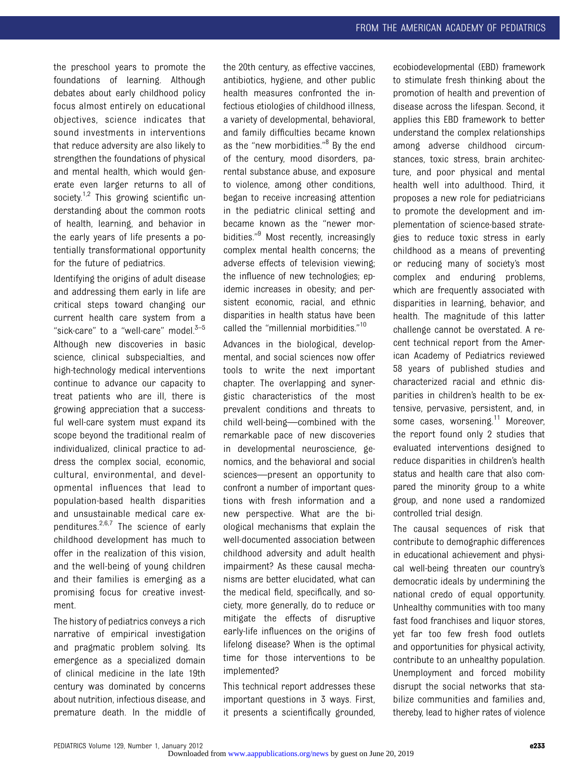the preschool years to promote the foundations of learning. Although debates about early childhood policy focus almost entirely on educational objectives, science indicates that sound investments in interventions that reduce adversity are also likely to strengthen the foundations of physical and mental health, which would generate even larger returns to all of society.<sup>1,2</sup> This growing scientific understanding about the common roots of health, learning, and behavior in the early years of life presents a potentially transformational opportunity for the future of pediatrics.

Identifying the origins of adult disease and addressing them early in life are critical steps toward changing our current health care system from a "sick-care" to a "well-care" model. $3-5$ Although new discoveries in basic science, clinical subspecialties, and high-technology medical interventions continue to advance our capacity to treat patients who are ill, there is growing appreciation that a successful well-care system must expand its scope beyond the traditional realm of individualized, clinical practice to address the complex social, economic, cultural, environmental, and developmental influences that lead to population-based health disparities and unsustainable medical care expenditures. $2,6,7$  The science of early childhood development has much to offer in the realization of this vision, and the well-being of young children and their families is emerging as a promising focus for creative investment.

The history of pediatrics conveys a rich narrative of empirical investigation and pragmatic problem solving. Its emergence as a specialized domain of clinical medicine in the late 19th century was dominated by concerns about nutrition, infectious disease, and premature death. In the middle of

the 20th century, as effective vaccines, antibiotics, hygiene, and other public health measures confronted the infectious etiologies of childhood illness, a variety of developmental, behavioral, and family difficulties became known as the "new morbidities."<sup>8</sup> By the end of the century, mood disorders, parental substance abuse, and exposure to violence, among other conditions, began to receive increasing attention in the pediatric clinical setting and became known as the "newer morbidities."<sup>9</sup> Most recently, increasingly complex mental health concerns; the adverse effects of television viewing; the influence of new technologies; epidemic increases in obesity; and persistent economic, racial, and ethnic disparities in health status have been called the "millennial morbidities."<sup>10</sup>

Advances in the biological, developmental, and social sciences now offer tools to write the next important chapter. The overlapping and synergistic characteristics of the most prevalent conditions and threats to child well-being—combined with the remarkable pace of new discoveries in developmental neuroscience, genomics, and the behavioral and social sciences—present an opportunity to confront a number of important questions with fresh information and a new perspective. What are the biological mechanisms that explain the well-documented association between childhood adversity and adult health impairment? As these causal mechanisms are better elucidated, what can the medical field, specifically, and society, more generally, do to reduce or mitigate the effects of disruptive early-life influences on the origins of lifelong disease? When is the optimal time for those interventions to be implemented?

This technical report addresses these important questions in 3 ways. First, it presents a scientifically grounded,

ecobiodevelopmental (EBD) framework to stimulate fresh thinking about the promotion of health and prevention of disease across the lifespan. Second, it applies this EBD framework to better understand the complex relationships among adverse childhood circumstances, toxic stress, brain architecture, and poor physical and mental health well into adulthood. Third, it proposes a new role for pediatricians to promote the development and implementation of science-based strategies to reduce toxic stress in early childhood as a means of preventing or reducing many of society's most complex and enduring problems, which are frequently associated with disparities in learning, behavior, and health. The magnitude of this latter challenge cannot be overstated. A recent technical report from the American Academy of Pediatrics reviewed 58 years of published studies and characterized racial and ethnic disparities in children's health to be extensive, pervasive, persistent, and, in some cases, worsening.<sup>11</sup> Moreover, the report found only 2 studies that evaluated interventions designed to reduce disparities in children's health status and health care that also compared the minority group to a white group, and none used a randomized controlled trial design.

The causal sequences of risk that contribute to demographic differences in educational achievement and physical well-being threaten our country's democratic ideals by undermining the national credo of equal opportunity. Unhealthy communities with too many fast food franchises and liquor stores, yet far too few fresh food outlets and opportunities for physical activity, contribute to an unhealthy population. Unemployment and forced mobility disrupt the social networks that stabilize communities and families and, thereby, lead to higher rates of violence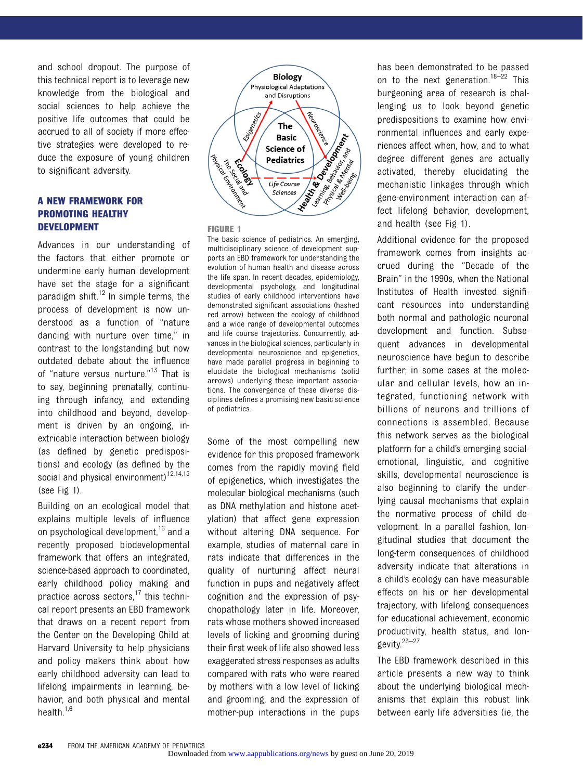and school dropout. The purpose of this technical report is to leverage new knowledge from the biological and social sciences to help achieve the positive life outcomes that could be accrued to all of society if more effective strategies were developed to reduce the exposure of young children to significant adversity.

# A NEW FRAMEWORK FOR PROMOTING HEALTHY DEVELOPMENT

Advances in our understanding of the factors that either promote or undermine early human development have set the stage for a significant paradigm shift.<sup>12</sup> In simple terms, the process of development is now understood as a function of "nature dancing with nurture over time," in contrast to the longstanding but now outdated debate about the influence of "nature versus nurture."<sup>13</sup> That is to say, beginning prenatally, continuing through infancy, and extending into childhood and beyond, development is driven by an ongoing, inextricable interaction between biology (as defined by genetic predispositions) and ecology (as defined by the social and physical environment)<sup>12,14,15</sup> (see Fig 1).

Building on an ecological model that explains multiple levels of influence on psychological development, <sup>16</sup> and a recently proposed biodevelopmental framework that offers an integrated, science-based approach to coordinated, early childhood policy making and practice across sectors, $17$  this technical report presents an EBD framework that draws on a recent report from the Center on the Developing Child at Harvard University to help physicians and policy makers think about how early childhood adversity can lead to lifelong impairments in learning, behavior, and both physical and mental health. $1,6$ 



#### FIGURE 1

The basic science of pediatrics. An emerging, multidisciplinary science of development supports an EBD framework for understanding the evolution of human health and disease across the life span. In recent decades, epidemiology, developmental psychology, and longitudinal studies of early childhood interventions have demonstrated significant associations (hashed red arrow) between the ecology of childhood and a wide range of developmental outcomes and life course trajectories. Concurrently, advances in the biological sciences, particularly in developmental neuroscience and epigenetics, have made parallel progress in beginning to elucidate the biological mechanisms (solid arrows) underlying these important associations. The convergence of these diverse disciplines defines a promising new basic science of pediatrics.

Some of the most compelling new evidence for this proposed framework comes from the rapidly moving field of epigenetics, which investigates the molecular biological mechanisms (such as DNA methylation and histone acetylation) that affect gene expression without altering DNA sequence. For example, studies of maternal care in rats indicate that differences in the quality of nurturing affect neural function in pups and negatively affect cognition and the expression of psychopathology later in life. Moreover, rats whose mothers showed increased levels of licking and grooming during their first week of life also showed less exaggerated stress responses as adults compared with rats who were reared by mothers with a low level of licking and grooming, and the expression of mother-pup interactions in the pups

has been demonstrated to be passed on to the next generation.<sup>18–22</sup> This burgeoning area of research is challenging us to look beyond genetic predispositions to examine how environmental influences and early experiences affect when, how, and to what degree different genes are actually activated, thereby elucidating the mechanistic linkages through which gene-environment interaction can affect lifelong behavior, development, and health (see Fig 1).

Additional evidence for the proposed framework comes from insights accrued during the "Decade of the Brain" in the 1990s, when the National Institutes of Health invested significant resources into understanding both normal and pathologic neuronal development and function. Subsequent advances in developmental neuroscience have begun to describe further, in some cases at the molecular and cellular levels, how an integrated, functioning network with billions of neurons and trillions of connections is assembled. Because this network serves as the biological platform for a child's emerging socialemotional, linguistic, and cognitive skills, developmental neuroscience is also beginning to clarify the underlying causal mechanisms that explain the normative process of child development. In a parallel fashion, longitudinal studies that document the long-term consequences of childhood adversity indicate that alterations in a child's ecology can have measurable effects on his or her developmental trajectory, with lifelong consequences for educational achievement, economic productivity, health status, and longevity.23–<sup>27</sup>

The EBD framework described in this article presents a new way to think about the underlying biological mechanisms that explain this robust link between early life adversities (ie, the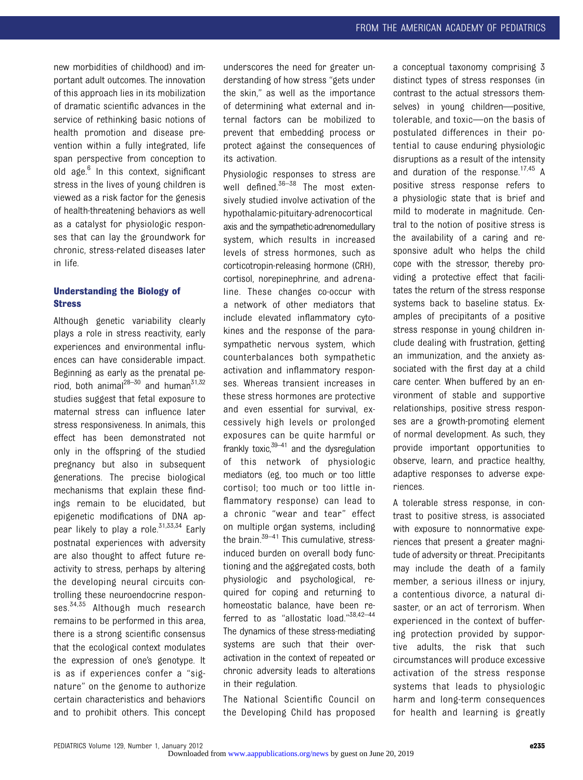new morbidities of childhood) and important adult outcomes. The innovation of this approach lies in its mobilization of dramatic scientific advances in the service of rethinking basic notions of health promotion and disease prevention within a fully integrated, life span perspective from conception to old age.<sup>6</sup> In this context, significant stress in the lives of young children is viewed as a risk factor for the genesis of health-threatening behaviors as well as a catalyst for physiologic responses that can lay the groundwork for chronic, stress-related diseases later in life.

# Understanding the Biology of Stress

Although genetic variability clearly plays a role in stress reactivity, early experiences and environmental influences can have considerable impact. Beginning as early as the prenatal period, both animal $^{28-30}$  and human $^{31,32}$ studies suggest that fetal exposure to maternal stress can influence later stress responsiveness. In animals, this effect has been demonstrated not only in the offspring of the studied pregnancy but also in subsequent generations. The precise biological mechanisms that explain these findings remain to be elucidated, but epigenetic modifications of DNA appear likely to play a role.<sup>31,33,34</sup> Early postnatal experiences with adversity are also thought to affect future reactivity to stress, perhaps by altering the developing neural circuits controlling these neuroendocrine responses.<sup>34,35</sup> Although much research remains to be performed in this area, there is a strong scientific consensus that the ecological context modulates the expression of one's genotype. It is as if experiences confer a "signature" on the genome to authorize certain characteristics and behaviors and to prohibit others. This concept

underscores the need for greater understanding of how stress "gets under the skin," as well as the importance of determining what external and internal factors can be mobilized to prevent that embedding process or protect against the consequences of its activation.

Physiologic responses to stress are well defined. $36-38$  The most extensively studied involve activation of the hypothalamic-pituitary-adrenocortical axis and the sympathetic-adrenomedullary system, which results in increased levels of stress hormones, such as corticotropin-releasing hormone (CRH), cortisol, norepinephrine, and adrenaline. These changes co-occur with a network of other mediators that include elevated inflammatory cytokines and the response of the parasympathetic nervous system, which counterbalances both sympathetic activation and inflammatory responses. Whereas transient increases in these stress hormones are protective and even essential for survival, excessively high levels or prolonged exposures can be quite harmful or frankly toxic, $39-41$  and the dysregulation of this network of physiologic mediators (eg, too much or too little cortisol; too much or too little inflammatory response) can lead to a chronic "wear and tear" effect on multiple organ systems, including the brain. $39-41$  This cumulative, stressinduced burden on overall body functioning and the aggregated costs, both physiologic and psychological, required for coping and returning to homeostatic balance, have been referred to as "allostatic load." 38,42–44 The dynamics of these stress-mediating systems are such that their overactivation in the context of repeated or chronic adversity leads to alterations in their regulation.

The National Scientific Council on the Developing Child has proposed a conceptual taxonomy comprising 3 distinct types of stress responses (in contrast to the actual stressors themselves) in young children—positive, tolerable, and toxic—on the basis of postulated differences in their potential to cause enduring physiologic disruptions as a result of the intensity and duration of the response.<sup>17,45</sup> A positive stress response refers to a physiologic state that is brief and mild to moderate in magnitude. Central to the notion of positive stress is the availability of a caring and responsive adult who helps the child cope with the stressor, thereby providing a protective effect that facilitates the return of the stress response systems back to baseline status. Examples of precipitants of a positive stress response in young children include dealing with frustration, getting an immunization, and the anxiety associated with the first day at a child care center. When buffered by an environment of stable and supportive relationships, positive stress responses are a growth-promoting element of normal development. As such, they provide important opportunities to observe, learn, and practice healthy, adaptive responses to adverse experiences.

A tolerable stress response, in contrast to positive stress, is associated with exposure to nonnormative experiences that present a greater magnitude of adversity or threat. Precipitants may include the death of a family member, a serious illness or injury, a contentious divorce, a natural disaster, or an act of terrorism. When experienced in the context of buffering protection provided by supportive adults, the risk that such circumstances will produce excessive activation of the stress response systems that leads to physiologic harm and long-term consequences for health and learning is greatly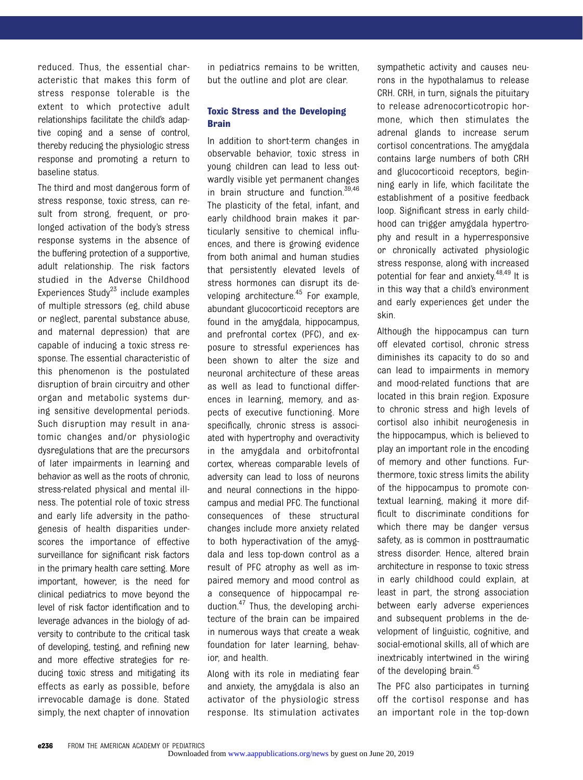reduced. Thus, the essential characteristic that makes this form of stress response tolerable is the extent to which protective adult relationships facilitate the child's adaptive coping and a sense of control, thereby reducing the physiologic stress response and promoting a return to baseline status.

The third and most dangerous form of stress response, toxic stress, can result from strong, frequent, or prolonged activation of the body's stress response systems in the absence of the buffering protection of a supportive, adult relationship. The risk factors studied in the Adverse Childhood Experiences Study $^{23}$  include examples of multiple stressors (eg, child abuse or neglect, parental substance abuse, and maternal depression) that are capable of inducing a toxic stress response. The essential characteristic of this phenomenon is the postulated disruption of brain circuitry and other organ and metabolic systems during sensitive developmental periods. Such disruption may result in anatomic changes and/or physiologic dysregulations that are the precursors of later impairments in learning and behavior as well as the roots of chronic, stress-related physical and mental illness. The potential role of toxic stress and early life adversity in the pathogenesis of health disparities underscores the importance of effective surveillance for significant risk factors in the primary health care setting. More important, however, is the need for clinical pediatrics to move beyond the level of risk factor identification and to leverage advances in the biology of adversity to contribute to the critical task of developing, testing, and refining new and more effective strategies for reducing toxic stress and mitigating its effects as early as possible, before irrevocable damage is done. Stated simply, the next chapter of innovation in pediatrics remains to be written, but the outline and plot are clear.

## Toxic Stress and the Developing **Brain**

In addition to short-term changes in observable behavior, toxic stress in young children can lead to less outwardly visible yet permanent changes in brain structure and function.<sup>39,46</sup> The plasticity of the fetal, infant, and early childhood brain makes it particularly sensitive to chemical influences, and there is growing evidence from both animal and human studies that persistently elevated levels of stress hormones can disrupt its developing architecture.<sup>45</sup> For example, abundant glucocorticoid receptors are found in the amygdala, hippocampus, and prefrontal cortex (PFC), and exposure to stressful experiences has been shown to alter the size and neuronal architecture of these areas as well as lead to functional differences in learning, memory, and aspects of executive functioning. More specifically, chronic stress is associated with hypertrophy and overactivity in the amygdala and orbitofrontal cortex, whereas comparable levels of adversity can lead to loss of neurons and neural connections in the hippocampus and medial PFC. The functional consequences of these structural changes include more anxiety related to both hyperactivation of the amygdala and less top-down control as a result of PFC atrophy as well as impaired memory and mood control as a consequence of hippocampal reduction.47 Thus, the developing architecture of the brain can be impaired in numerous ways that create a weak foundation for later learning, behavior, and health.

Along with its role in mediating fear and anxiety, the amygdala is also an activator of the physiologic stress response. Its stimulation activates sympathetic activity and causes neurons in the hypothalamus to release CRH. CRH, in turn, signals the pituitary to release adrenocorticotropic hormone, which then stimulates the adrenal glands to increase serum cortisol concentrations. The amygdala contains large numbers of both CRH and glucocorticoid receptors, beginning early in life, which facilitate the establishment of a positive feedback loop. Significant stress in early childhood can trigger amygdala hypertrophy and result in a hyperresponsive or chronically activated physiologic stress response, along with increased potential for fear and anxiety.<sup>48,49</sup> It is in this way that a child's environment and early experiences get under the skin.

Although the hippocampus can turn off elevated cortisol, chronic stress diminishes its capacity to do so and can lead to impairments in memory and mood-related functions that are located in this brain region. Exposure to chronic stress and high levels of cortisol also inhibit neurogenesis in the hippocampus, which is believed to play an important role in the encoding of memory and other functions. Furthermore, toxic stress limits the ability of the hippocampus to promote contextual learning, making it more difficult to discriminate conditions for which there may be danger versus safety, as is common in posttraumatic stress disorder. Hence, altered brain architecture in response to toxic stress in early childhood could explain, at least in part, the strong association between early adverse experiences and subsequent problems in the development of linguistic, cognitive, and social-emotional skills, all of which are inextricably intertwined in the wiring of the developing brain.<sup>45</sup>

The PFC also participates in turning off the cortisol response and has an important role in the top-down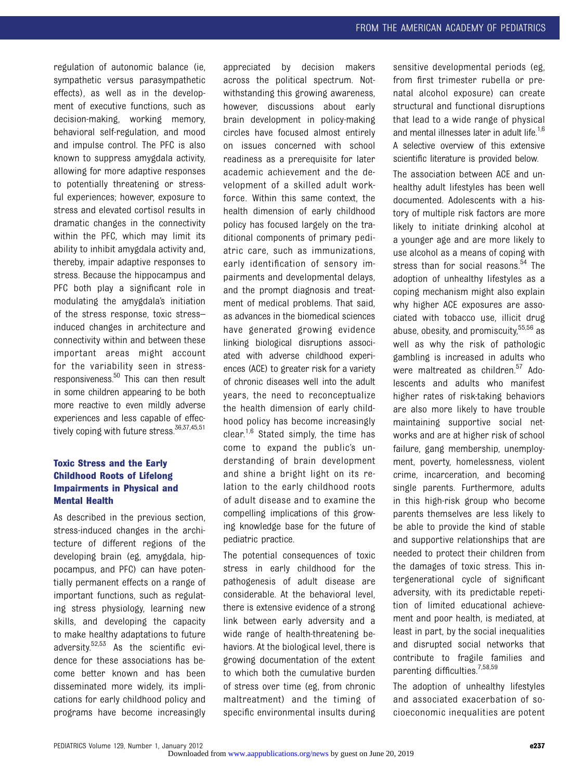regulation of autonomic balance (ie, sympathetic versus parasympathetic effects), as well as in the development of executive functions, such as decision-making, working memory, behavioral self-regulation, and mood and impulse control. The PFC is also known to suppress amygdala activity, allowing for more adaptive responses to potentially threatening or stressful experiences; however, exposure to stress and elevated cortisol results in dramatic changes in the connectivity within the PFC, which may limit its ability to inhibit amygdala activity and, thereby, impair adaptive responses to stress. Because the hippocampus and PFC both play a significant role in modulating the amygdala's initiation of the stress response, toxic stress– induced changes in architecture and connectivity within and between these important areas might account for the variability seen in stressresponsiveness. $50$  This can then result in some children appearing to be both more reactive to even mildly adverse experiences and less capable of effectively coping with future stress.<sup>36,37,45,51</sup>

# Toxic Stress and the Early Childhood Roots of Lifelong Impairments in Physical and Mental Health

As described in the previous section, stress-induced changes in the architecture of different regions of the developing brain (eg, amygdala, hippocampus, and PFC) can have potentially permanent effects on a range of important functions, such as regulating stress physiology, learning new skills, and developing the capacity to make healthy adaptations to future adversity.52,53 As the scientific evidence for these associations has become better known and has been disseminated more widely, its implications for early childhood policy and programs have become increasingly

appreciated by decision makers across the political spectrum. Notwithstanding this growing awareness, however, discussions about early brain development in policy-making circles have focused almost entirely on issues concerned with school readiness as a prerequisite for later academic achievement and the development of a skilled adult workforce. Within this same context, the health dimension of early childhood policy has focused largely on the traditional components of primary pediatric care, such as immunizations, early identification of sensory impairments and developmental delays, and the prompt diagnosis and treatment of medical problems. That said, as advances in the biomedical sciences have generated growing evidence linking biological disruptions associated with adverse childhood experiences (ACE) to greater risk for a variety of chronic diseases well into the adult years, the need to reconceptualize the health dimension of early childhood policy has become increasingly clear. $1,6$  Stated simply, the time has come to expand the public's understanding of brain development and shine a bright light on its relation to the early childhood roots of adult disease and to examine the compelling implications of this growing knowledge base for the future of pediatric practice.

The potential consequences of toxic stress in early childhood for the pathogenesis of adult disease are considerable. At the behavioral level, there is extensive evidence of a strong link between early adversity and a wide range of health-threatening behaviors. At the biological level, there is growing documentation of the extent to which both the cumulative burden of stress over time (eg, from chronic maltreatment) and the timing of specific environmental insults during

sensitive developmental periods (eg, from first trimester rubella or prenatal alcohol exposure) can create structural and functional disruptions that lead to a wide range of physical and mental illnesses later in adult life. $1,6$ A selective overview of this extensive scientific literature is provided below.

The association between ACE and unhealthy adult lifestyles has been well documented. Adolescents with a history of multiple risk factors are more likely to initiate drinking alcohol at a younger age and are more likely to use alcohol as a means of coping with stress than for social reasons.<sup>54</sup> The adoption of unhealthy lifestyles as a coping mechanism might also explain why higher ACE exposures are associated with tobacco use, illicit drug abuse, obesity, and promiscuity, 55,56 as well as why the risk of pathologic gambling is increased in adults who were maltreated as children.<sup>57</sup> Adolescents and adults who manifest higher rates of risk-taking behaviors are also more likely to have trouble maintaining supportive social networks and are at higher risk of school failure, gang membership, unemployment, poverty, homelessness, violent crime, incarceration, and becoming single parents. Furthermore, adults in this high-risk group who become parents themselves are less likely to be able to provide the kind of stable and supportive relationships that are needed to protect their children from the damages of toxic stress. This intergenerational cycle of significant adversity, with its predictable repetition of limited educational achievement and poor health, is mediated, at least in part, by the social inequalities and disrupted social networks that contribute to fragile families and parenting difficulties.<sup>7,58,59</sup>

The adoption of unhealthy lifestyles and associated exacerbation of socioeconomic inequalities are potent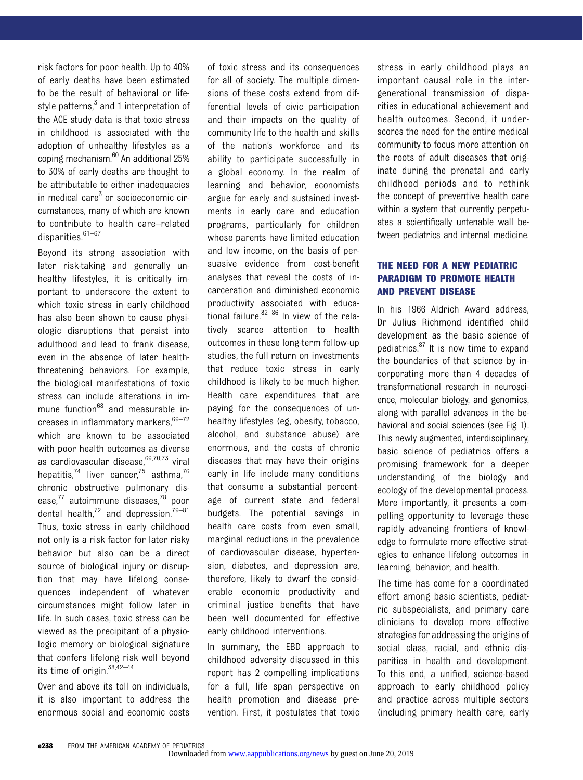risk factors for poor health. Up to 40% of early deaths have been estimated to be the result of behavioral or lifestyle patterns, $3$  and 1 interpretation of the ACE study data is that toxic stress in childhood is associated with the adoption of unhealthy lifestyles as a coping mechanism.<sup>60</sup> An additional 25% to 30% of early deaths are thought to be attributable to either inadequacies in medical care $3$  or socioeconomic circumstances, many of which are known to contribute to health care–related disparities. $61-67$ 

Beyond its strong association with later risk-taking and generally unhealthy lifestyles, it is critically important to underscore the extent to which toxic stress in early childhood has also been shown to cause physiologic disruptions that persist into adulthood and lead to frank disease, even in the absence of later healththreatening behaviors. For example, the biological manifestations of toxic stress can include alterations in immune function<sup>68</sup> and measurable increases in inflammatory markers,  $69-72$ which are known to be associated with poor health outcomes as diverse as cardiovascular disease.<sup>69,70,73</sup> viral hepatitis,<sup>74</sup> liver cancer,<sup>75</sup> asthma,<sup>76</sup> chronic obstructive pulmonary disease,<sup>77</sup> autoimmune diseases,<sup>78</sup> poor dental health, $72$  and depression. $79-81$ Thus, toxic stress in early childhood not only is a risk factor for later risky behavior but also can be a direct source of biological injury or disruption that may have lifelong consequences independent of whatever circumstances might follow later in life. In such cases, toxic stress can be viewed as the precipitant of a physiologic memory or biological signature that confers lifelong risk well beyond its time of origin.38,42–<sup>44</sup>

Over and above its toll on individuals, it is also important to address the enormous social and economic costs

of toxic stress and its consequences for all of society. The multiple dimensions of these costs extend from differential levels of civic participation and their impacts on the quality of community life to the health and skills of the nation's workforce and its ability to participate successfully in a global economy. In the realm of learning and behavior, economists argue for early and sustained investments in early care and education programs, particularly for children whose parents have limited education and low income, on the basis of persuasive evidence from cost-benefit analyses that reveal the costs of incarceration and diminished economic productivity associated with educational failure. $82-86$  In view of the relatively scarce attention to health outcomes in these long-term follow-up studies, the full return on investments that reduce toxic stress in early childhood is likely to be much higher. Health care expenditures that are paying for the consequences of unhealthy lifestyles (eg, obesity, tobacco, alcohol, and substance abuse) are enormous, and the costs of chronic diseases that may have their origins early in life include many conditions that consume a substantial percentage of current state and federal budgets. The potential savings in health care costs from even small, marginal reductions in the prevalence of cardiovascular disease, hypertension, diabetes, and depression are, therefore, likely to dwarf the considerable economic productivity and criminal justice benefits that have been well documented for effective early childhood interventions.

In summary, the EBD approach to childhood adversity discussed in this report has 2 compelling implications for a full, life span perspective on health promotion and disease prevention. First, it postulates that toxic

stress in early childhood plays an important causal role in the intergenerational transmission of disparities in educational achievement and health outcomes. Second, it underscores the need for the entire medical community to focus more attention on the roots of adult diseases that originate during the prenatal and early childhood periods and to rethink the concept of preventive health care within a system that currently perpetuates a scientifically untenable wall between pediatrics and internal medicine.

# THE NEED FOR A NEW PEDIATRIC PARADIGM TO PROMOTE HEALTH AND PREVENT DISEASE

In his 1966 Aldrich Award address, Dr Julius Richmond identified child development as the basic science of pediatrics.<sup>87</sup> It is now time to expand the boundaries of that science by incorporating more than 4 decades of transformational research in neuroscience, molecular biology, and genomics, along with parallel advances in the behavioral and social sciences (see Fig 1). This newly augmented, interdisciplinary, basic science of pediatrics offers a promising framework for a deeper understanding of the biology and ecology of the developmental process. More importantly, it presents a compelling opportunity to leverage these rapidly advancing frontiers of knowledge to formulate more effective strategies to enhance lifelong outcomes in learning, behavior, and health.

The time has come for a coordinated effort among basic scientists, pediatric subspecialists, and primary care clinicians to develop more effective strategies for addressing the origins of social class, racial, and ethnic disparities in health and development. To this end, a unified, science-based approach to early childhood policy and practice across multiple sectors (including primary health care, early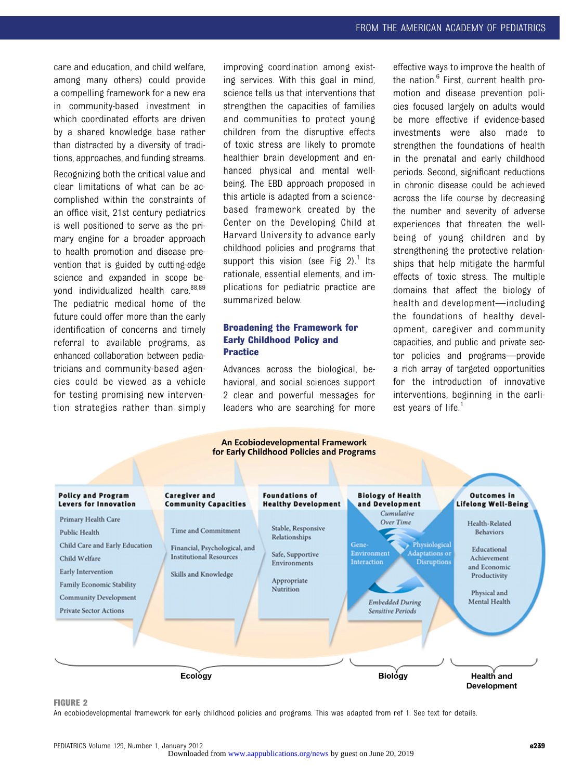care and education, and child welfare, among many others) could provide a compelling framework for a new era in community-based investment in which coordinated efforts are driven by a shared knowledge base rather than distracted by a diversity of traditions, approaches, and funding streams. Recognizing both the critical value and clear limitations of what can be accomplished within the constraints of an office visit, 21st century pediatrics is well positioned to serve as the primary engine for a broader approach to health promotion and disease prevention that is guided by cutting-edge science and expanded in scope beyond individualized health care.<sup>88,89</sup> The pediatric medical home of the future could offer more than the early identification of concerns and timely referral to available programs, as enhanced collaboration between pediatricians and community-based agencies could be viewed as a vehicle for testing promising new intervention strategies rather than simply

improving coordination among existing services. With this goal in mind, science tells us that interventions that strengthen the capacities of families and communities to protect young children from the disruptive effects of toxic stress are likely to promote healthier brain development and enhanced physical and mental wellbeing. The EBD approach proposed in this article is adapted from a sciencebased framework created by the Center on the Developing Child at Harvard University to advance early childhood policies and programs that support this vision (see Fig 2).<sup>1</sup> Its rationale, essential elements, and implications for pediatric practice are summarized below.

# Broadening the Framework for Early Childhood Policy and **Practice**

Advances across the biological, behavioral, and social sciences support 2 clear and powerful messages for leaders who are searching for more

effective ways to improve the health of the nation.<sup>6</sup> First, current health promotion and disease prevention policies focused largely on adults would be more effective if evidence-based investments were also made to strengthen the foundations of health in the prenatal and early childhood periods. Second, significant reductions in chronic disease could be achieved across the life course by decreasing the number and severity of adverse experiences that threaten the wellbeing of young children and by strengthening the protective relationships that help mitigate the harmful effects of toxic stress. The multiple domains that affect the biology of health and development—including the foundations of healthy development, caregiver and community capacities, and public and private sector policies and programs—provide a rich array of targeted opportunities for the introduction of innovative interventions, beginning in the earliest years of life.<sup>1</sup>



**FIGURE 2** 

An ecobiodevelopmental framework for early childhood policies and programs. This was adapted from ref 1. See text for details.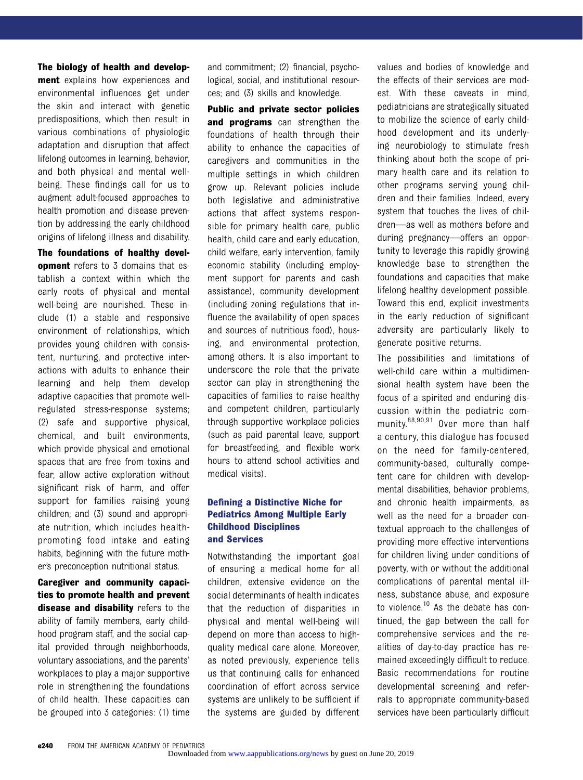#### The biology of health and develop-

**ment** explains how experiences and environmental influences get under the skin and interact with genetic predispositions, which then result in various combinations of physiologic adaptation and disruption that affect lifelong outcomes in learning, behavior, and both physical and mental wellbeing. These findings call for us to augment adult-focused approaches to health promotion and disease prevention by addressing the early childhood origins of lifelong illness and disability.

The foundations of healthy devel**opment** refers to 3 domains that establish a context within which the early roots of physical and mental well-being are nourished. These include (1) a stable and responsive environment of relationships, which provides young children with consistent, nurturing, and protective interactions with adults to enhance their learning and help them develop adaptive capacities that promote wellregulated stress-response systems; (2) safe and supportive physical, chemical, and built environments, which provide physical and emotional spaces that are free from toxins and fear, allow active exploration without significant risk of harm, and offer support for families raising young children; and (3) sound and appropriate nutrition, which includes healthpromoting food intake and eating habits, beginning with the future mother's preconception nutritional status.

Caregiver and community capacities to promote health and prevent disease and disability refers to the ability of family members, early childhood program staff, and the social capital provided through neighborhoods, voluntary associations, and the parents' workplaces to play a major supportive role in strengthening the foundations of child health. These capacities can be grouped into 3 categories: (1) time

and commitment; (2) financial, psychological, social, and institutional resources; and (3) skills and knowledge.

Public and private sector policies and programs can strengthen the foundations of health through their ability to enhance the capacities of caregivers and communities in the multiple settings in which children grow up. Relevant policies include both legislative and administrative actions that affect systems responsible for primary health care, public health, child care and early education, child welfare, early intervention, family economic stability (including employment support for parents and cash assistance), community development (including zoning regulations that influence the availability of open spaces and sources of nutritious food), housing, and environmental protection, among others. It is also important to underscore the role that the private sector can play in strengthening the capacities of families to raise healthy and competent children, particularly through supportive workplace policies (such as paid parental leave, support for breastfeeding, and flexible work hours to attend school activities and medical visits).

# Defining a Distinctive Niche for Pediatrics Among Multiple Early Childhood Disciplines and Services

Notwithstanding the important goal of ensuring a medical home for all children, extensive evidence on the social determinants of health indicates that the reduction of disparities in physical and mental well-being will depend on more than access to highquality medical care alone. Moreover, as noted previously, experience tells us that continuing calls for enhanced coordination of effort across service systems are unlikely to be sufficient if the systems are guided by different values and bodies of knowledge and the effects of their services are modest. With these caveats in mind, pediatricians are strategically situated to mobilize the science of early childhood development and its underlying neurobiology to stimulate fresh thinking about both the scope of primary health care and its relation to other programs serving young children and their families. Indeed, every system that touches the lives of children—as well as mothers before and during pregnancy—offers an opportunity to leverage this rapidly growing knowledge base to strengthen the foundations and capacities that make lifelong healthy development possible. Toward this end, explicit investments in the early reduction of significant adversity are particularly likely to generate positive returns.

The possibilities and limitations of well-child care within a multidimensional health system have been the focus of a spirited and enduring discussion within the pediatric community.<sup>88,90,91</sup> Over more than half a century, this dialogue has focused on the need for family-centered, community-based, culturally competent care for children with developmental disabilities, behavior problems, and chronic health impairments, as well as the need for a broader contextual approach to the challenges of providing more effective interventions for children living under conditions of poverty, with or without the additional complications of parental mental illness, substance abuse, and exposure to violence.<sup>10</sup> As the debate has continued, the gap between the call for comprehensive services and the realities of day-to-day practice has remained exceedingly difficult to reduce. Basic recommendations for routine developmental screening and referrals to appropriate community-based services have been particularly difficult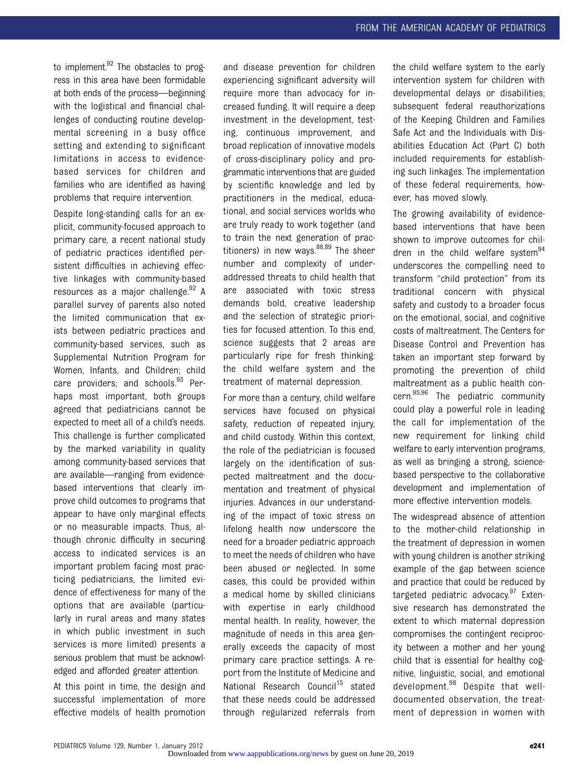to implement. $92$  The obstacles to progress in this area have been formidable at both ends of the process—beginning with the logistical and financial challenges of conducting routine developmental screening in a busy office setting and extending to significant limitations in access to evidencebased services for children and families who are identified as having problems that require intervention.

Despite long-standing calls for an explicit, community-focused approach to primary care, a recent national study of pediatric practices identified persistent difficulties in achieving effective linkages with community-based resources as a major challenge. $^{92}$  A parallel survey of parents also noted the limited communication that exists between pediatric practices and community-based services, such as Supplemental Nutrition Program for Women, Infants, and Children; child care providers; and schools.<sup>93</sup> Perhaps most important, both groups agreed that pediatricians cannot be expected to meet all of a child's needs. This challenge is further complicated by the marked variability in quality among community-based services that are available—ranging from evidencebased interventions that clearly improve child outcomes to programs that appear to have only marginal effects or no measurable impacts. Thus, although chronic difficulty in securing access to indicated services is an important problem facing most practicing pediatricians, the limited evidence of effectiveness for many of the options that are available (particularly in rural areas and many states in which public investment in such services is more limited) presents a serious problem that must be acknowledged and afforded greater attention.

At this point in time, the design and successful implementation of more effective models of health promotion

and disease prevention for children experiencing significant adversity will require more than advocacy for increased funding. It will require a deep investment in the development, testing, continuous improvement, and broad replication of innovative models of cross-disciplinary policy and programmatic interventions that are guided by scientific knowledge and led by practitioners in the medical, educational, and social services worlds who are truly ready to work together (and to train the next generation of practitioners) in new ways. $88,89$  The sheer number and complexity of underaddressed threats to child health that are associated with toxic stress demands bold, creative leadership and the selection of strategic priorities for focused attention. To this end, science suggests that 2 areas are particularly ripe for fresh thinking: the child welfare system and the treatment of maternal depression.

For more than a century, child welfare services have focused on physical safety, reduction of repeated injury, and child custody. Within this context, the role of the pediatrician is focused largely on the identification of suspected maltreatment and the documentation and treatment of physical injuries. Advances in our understanding of the impact of toxic stress on lifelong health now underscore the need for a broader pediatric approach to meet the needs of children who have been abused or neglected. In some cases, this could be provided within a medical home by skilled clinicians with expertise in early childhood mental health. In reality, however, the magnitude of needs in this area generally exceeds the capacity of most primary care practice settings. A report from the Institute of Medicine and National Research Council<sup>15</sup> stated that these needs could be addressed through regularized referrals from the child welfare system to the early intervention system for children with developmental delays or disabilities; subsequent federal reauthorizations of the Keeping Children and Families Safe Act and the Individuals with Disabilities Education Act (Part C) both included requirements for establishing such linkages. The implementation of these federal requirements, however, has moved slowly.

The growing availability of evidencebased interventions that have been shown to improve outcomes for children in the child welfare system $94$ underscores the compelling need to transform "child protection" from its traditional concern with physical safety and custody to a broader focus on the emotional, social, and cognitive costs of maltreatment. The Centers for Disease Control and Prevention has taken an important step forward by promoting the prevention of child maltreatment as a public health concern.<sup>95,96</sup> The pediatric community could play a powerful role in leading the call for implementation of the new requirement for linking child welfare to early intervention programs, as well as bringing a strong, sciencebased perspective to the collaborative development and implementation of more effective intervention models.

The widespread absence of attention to the mother-child relationship in the treatment of depression in women with young children is another striking example of the gap between science and practice that could be reduced by targeted pediatric advocacy. $97$  Extensive research has demonstrated the extent to which maternal depression compromises the contingent reciprocity between a mother and her young child that is essential for healthy cognitive, linguistic, social, and emotional development.<sup>98</sup> Despite that welldocumented observation, the treatment of depression in women with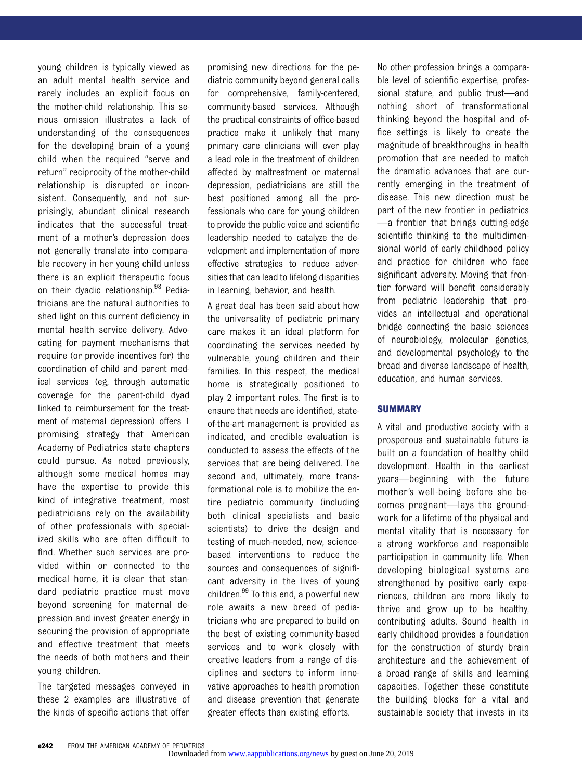young children is typically viewed as an adult mental health service and rarely includes an explicit focus on the mother-child relationship. This serious omission illustrates a lack of understanding of the consequences for the developing brain of a young child when the required "serve and return" reciprocity of the mother-child relationship is disrupted or inconsistent. Consequently, and not surprisingly, abundant clinical research indicates that the successful treatment of a mother's depression does not generally translate into comparable recovery in her young child unless there is an explicit therapeutic focus on their dyadic relationship.<sup>98</sup> Pediatricians are the natural authorities to shed light on this current deficiency in mental health service delivery. Advocating for payment mechanisms that require (or provide incentives for) the coordination of child and parent medical services (eg, through automatic coverage for the parent-child dyad linked to reimbursement for the treatment of maternal depression) offers 1 promising strategy that American Academy of Pediatrics state chapters could pursue. As noted previously, although some medical homes may have the expertise to provide this kind of integrative treatment, most pediatricians rely on the availability of other professionals with specialized skills who are often difficult to find. Whether such services are provided within or connected to the medical home, it is clear that standard pediatric practice must move beyond screening for maternal depression and invest greater energy in securing the provision of appropriate and effective treatment that meets the needs of both mothers and their young children.

The targeted messages conveyed in these 2 examples are illustrative of the kinds of specific actions that offer

promising new directions for the pediatric community beyond general calls for comprehensive, family-centered, community-based services. Although the practical constraints of office-based practice make it unlikely that many primary care clinicians will ever play a lead role in the treatment of children affected by maltreatment or maternal depression, pediatricians are still the best positioned among all the professionals who care for young children to provide the public voice and scientific leadership needed to catalyze the development and implementation of more effective strategies to reduce adversities that can lead to lifelong disparities in learning, behavior, and health.

A great deal has been said about how the universality of pediatric primary care makes it an ideal platform for coordinating the services needed by vulnerable, young children and their families. In this respect, the medical home is strategically positioned to play 2 important roles. The first is to ensure that needs are identified, stateof-the-art management is provided as indicated, and credible evaluation is conducted to assess the effects of the services that are being delivered. The second and, ultimately, more transformational role is to mobilize the entire pediatric community (including both clinical specialists and basic scientists) to drive the design and testing of much-needed, new, sciencebased interventions to reduce the sources and consequences of significant adversity in the lives of young children.<sup>99</sup> To this end, a powerful new role awaits a new breed of pediatricians who are prepared to build on the best of existing community-based services and to work closely with creative leaders from a range of disciplines and sectors to inform innovative approaches to health promotion and disease prevention that generate greater effects than existing efforts.

No other profession brings a comparable level of scientific expertise, professional stature, and public trust—and nothing short of transformational thinking beyond the hospital and office settings is likely to create the magnitude of breakthroughs in health promotion that are needed to match the dramatic advances that are currently emerging in the treatment of disease. This new direction must be part of the new frontier in pediatrics —a frontier that brings cutting-edge scientific thinking to the multidimensional world of early childhood policy and practice for children who face significant adversity. Moving that frontier forward will benefit considerably from pediatric leadership that provides an intellectual and operational bridge connecting the basic sciences of neurobiology, molecular genetics, and developmental psychology to the broad and diverse landscape of health, education, and human services.

# **SUMMARY**

A vital and productive society with a prosperous and sustainable future is built on a foundation of healthy child development. Health in the earliest years—beginning with the future mother's well-being before she becomes pregnant—lays the groundwork for a lifetime of the physical and mental vitality that is necessary for a strong workforce and responsible participation in community life. When developing biological systems are strengthened by positive early experiences, children are more likely to thrive and grow up to be healthy, contributing adults. Sound health in early childhood provides a foundation for the construction of sturdy brain architecture and the achievement of a broad range of skills and learning capacities. Together these constitute the building blocks for a vital and sustainable society that invests in its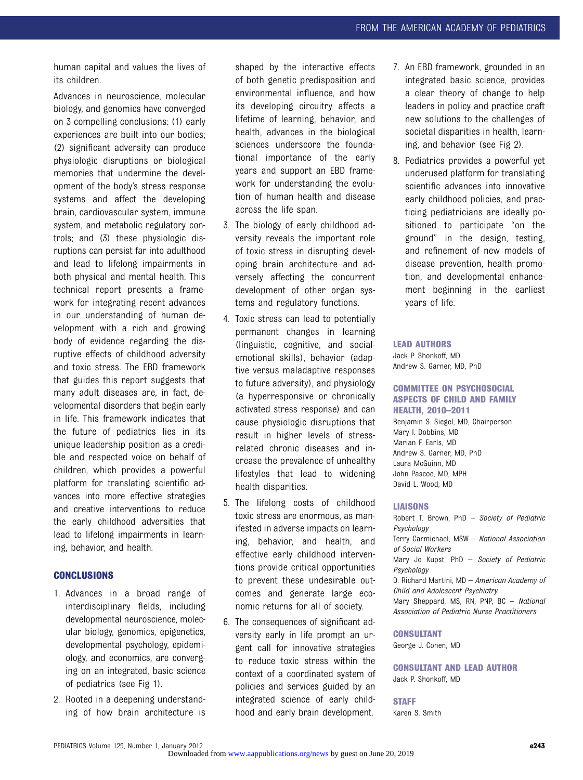human capital and values the lives of its children.

Advances in neuroscience, molecular biology, and genomics have converged on 3 compelling conclusions: (1) early experiences are built into our bodies; (2) significant adversity can produce physiologic disruptions or biological memories that undermine the development of the body's stress response systems and affect the developing brain, cardiovascular system, immune system, and metabolic regulatory controls; and (3) these physiologic disruptions can persist far into adulthood and lead to lifelong impairments in both physical and mental health. This technical report presents a framework for integrating recent advances in our understanding of human development with a rich and growing body of evidence regarding the disruptive effects of childhood adversity and toxic stress. The EBD framework that guides this report suggests that many adult diseases are, in fact, developmental disorders that begin early in life. This framework indicates that the future of pediatrics lies in its unique leadership position as a credible and respected voice on behalf of children, which provides a powerful platform for translating scientific advances into more effective strategies and creative interventions to reduce the early childhood adversities that lead to lifelong impairments in learning, behavior, and health.

# **CONCLUSIONS**

- 1. Advances in a broad range of interdisciplinary fields, including developmental neuroscience, molecular biology, genomics, epigenetics, developmental psychology, epidemiology, and economics, are converging on an integrated, basic science of pediatrics (see Fig 1).
- 2. Rooted in a deepening understanding of how brain architecture is

shaped by the interactive effects of both genetic predisposition and environmental influence, and how its developing circuitry affects a lifetime of learning, behavior, and health, advances in the biological sciences underscore the foundational importance of the early years and support an EBD framework for understanding the evolution of human health and disease across the life span.

- 3. The biology of early childhood adversity reveals the important role of toxic stress in disrupting developing brain architecture and adversely affecting the concurrent development of other organ systems and regulatory functions.
- 4. Toxic stress can lead to potentially permanent changes in learning (linguistic, cognitive, and socialemotional skills), behavior (adaptive versus maladaptive responses to future adversity), and physiology (a hyperresponsive or chronically activated stress response) and can cause physiologic disruptions that result in higher levels of stressrelated chronic diseases and increase the prevalence of unhealthy lifestyles that lead to widening health disparities.
- 5. The lifelong costs of childhood toxic stress are enormous, as manifested in adverse impacts on learning, behavior, and health, and effective early childhood interventions provide critical opportunities to prevent these undesirable outcomes and generate large economic returns for all of society.
- 6. The consequences of significant adversity early in life prompt an urgent call for innovative strategies to reduce toxic stress within the context of a coordinated system of policies and services guided by an integrated science of early childhood and early brain development.
- 7. An EBD framework, grounded in an integrated basic science, provides a clear theory of change to help leaders in policy and practice craft new solutions to the challenges of societal disparities in health, learning, and behavior (see Fig 2).
- 8. Pediatrics provides a powerful yet underused platform for translating scientific advances into innovative early childhood policies, and practicing pediatricians are ideally positioned to participate "on the ground" in the design, testing, and refinement of new models of disease prevention, health promotion, and developmental enhancement beginning in the earliest years of life.

#### LEAD AUTHORS

Jack P. Shonkoff, MD Andrew S. Garner, MD, PhD

#### COMMITTEE ON PSYCHOSOCIAL ASPECTS OF CHILD AND FAMILY HEALTH, 2010–2011

Benjamin S. Siegel, MD, Chairperson Mary I. Dobbins, MD Marian F. Earls, MD Andrew S. Garner, MD, PhD Laura McGuinn, MD John Pascoe, MD, MPH David L. Wood, MD

#### LIAISONS

Robert T. Brown, PhD – Society of Pediatric Psychology Terry Carmichael, MSW – National Association of Social Workers Mary Jo Kupst, PhD – Society of Pediatric Psychology D. Richard Martini, MD – American Academy of Child and Adolescent Psychiatry Mary Sheppard, MS, RN, PNP, BC – National Association of Pediatric Nurse Practitioners

#### CONSULTANT

George J. Cohen, MD

CONSULTANT AND LEAD AUTHOR Jack P. Shonkoff, MD

**STAFF** Karen S. Smith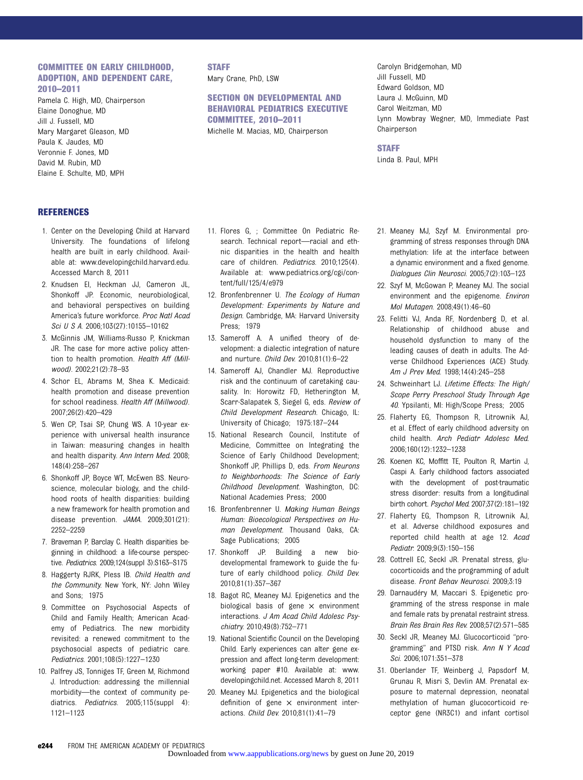#### COMMITTEE ON EARLY CHILDHOOD, ADOPTION, AND DEPENDENT CARE, 2010–2011

Pamela C. High, MD, Chairperson Elaine Donoghue, MD Jill J. Fussell, MD Mary Margaret Gleason, MD Paula K. Jaudes, MD Veronnie F. Jones, MD David M. Rubin, MD Elaine E. Schulte, MD, MPH

#### REFERENCES

- 1. Center on the Developing Child at Harvard University. The foundations of lifelong health are built in early childhood. Available at: www.developingchild.harvard.edu. Accessed March 8, 2011
- 2. Knudsen EI, Heckman JJ, Cameron JL, Shonkoff JP. Economic, neurobiological, and behavioral perspectives on building America's future workforce. Proc Natl Acad Sci U S A. 2006;103(27):10155–10162
- 3. McGinnis JM, Williams-Russo P, Knickman JR. The case for more active policy attention to health promotion. Health Aff (Millwood). 2002;21(2):78–93
- 4. Schor EL, Abrams M, Shea K. Medicaid: health promotion and disease prevention for school readiness. Health Aff (Millwood). 2007;26(2):420–429
- 5. Wen CP, Tsai SP, Chung WS. A 10-year experience with universal health insurance in Taiwan: measuring changes in health and health disparity. Ann Intern Med. 2008; 148(4):258–267
- 6. Shonkoff JP, Boyce WT, McEwen BS. Neuroscience, molecular biology, and the childhood roots of health disparities: building a new framework for health promotion and disease prevention. JAMA. 2009;301(21): 2252–2259
- 7. Braveman P, Barclay C. Health disparities beginning in childhood: a life-course perspective. Pediatrics. 2009;124(suppl 3):S163–S175
- 8. Haggerty RJRK, Pless IB. Child Health and the Community. New York, NY: John Wiley and Sons; 1975
- 9. Committee on Psychosocial Aspects of Child and Family Health; American Academy of Pediatrics. The new morbidity revisited: a renewed commitment to the psychosocial aspects of pediatric care. Pediatrics. 2001;108(5):1227–1230
- 10. Palfrey JS, Tonniges TF, Green M, Richmond J. Introduction: addressing the millennial morbidity—the context of community pediatrics. Pediatrics. 2005;115(suppl 4): 1121–1123

**STAFF** Mary Crane, PhD, LSW

SECTION ON DEVELOPMENTAL AND BEHAVIORAL PEDIATRICS EXECUTIVE COMMITTEE, 2010–2011 Michelle M. Macias, MD, Chairperson

Carolyn Bridgemohan, MD Jill Fussell, MD Edward Goldson, MD Laura J. McGuinn, MD Carol Weitzman, MD Lynn Mowbray Wegner, MD, Immediate Past Chairperson

#### **STAFF**

Linda B. Paul, MPH

- 11. Flores G, ; Committee On Pediatric Research. Technical report—racial and ethnic disparities in the health and health care of children. Pediatrics. 2010;125(4). Available at: www.pediatrics.org/cgi/content/full/125/4/e979
- 12. Bronfenbrenner U. The Ecology of Human Development: Experiments by Nature and Design. Cambridge, MA: Harvard University Press; 1979
- 13. Sameroff A. A unified theory of development: a dialectic integration of nature and nurture. Child Dev. 2010;81(1):6–22
- 14. Sameroff AJ, Chandler MJ. Reproductive risk and the continuum of caretaking causality. In: Horowitz FD, Hetherington M, Scarr-Salapatek S, Siegel G, eds. Review of Child Development Research. Chicago, IL: University of Chicago; 1975:187–244
- 15. National Research Council, Institute of Medicine, Committee on Integrating the Science of Early Childhood Development; Shonkoff JP, Phillips D, eds. From Neurons to Neighborhoods: The Science of Early Childhood Development. Washington, DC: National Academies Press; 2000
- 16. Bronfenbrenner U. Making Human Beings Human: Bioecological Perspectives on Human Development. Thousand Oaks, CA: Sage Publications; 2005
- 17. Shonkoff JP. Building a new biodevelopmental framework to guide the future of early childhood policy. Child Dev. 2010;81(1):357–367
- 18. Bagot RC, Meaney MJ. Epigenetics and the biological basis of gene  $\times$  environment interactions. J Am Acad Child Adolesc Psychiatry. 2010;49(8):752–771
- 19. National Scientific Council on the Developing Child. Early experiences can alter gene expression and affect long-term development: working paper #10. Available at: www. developingchild.net. Accessed March 8, 2011
- 20. Meaney MJ. Epigenetics and the biological definition of gene  $\times$  environment interactions. Child Dev. 2010;81(1):41–79
- 21. Meaney MJ, Szyf M. Environmental programming of stress responses through DNA methylation: life at the interface between a dynamic environment and a fixed genome. Dialogues Clin Neurosci. 2005;7(2):103–123
- 22. Szyf M, McGowan P, Meaney MJ. The social environment and the epigenome. Environ Mol Mutagen. 2008;49(1):46–60
- 23. Felitti VJ, Anda RF, Nordenberg D, et al. Relationship of childhood abuse and household dysfunction to many of the leading causes of death in adults. The Adverse Childhood Experiences (ACE) Study. Am J Prev Med. 1998;14(4):245–258
- 24. Schweinhart LJ. Lifetime Effects: The High/ Scope Perry Preschool Study Through Age 40. Ypsilanti, MI: High/Scope Press; 2005
- 25. Flaherty EG, Thompson R, Litrownik AJ, et al. Effect of early childhood adversity on child health. Arch Pediatr Adolesc Med. 2006;160(12):1232–1238
- 26. Koenen KC, Moffitt TE, Poulton R, Martin J, Caspi A. Early childhood factors associated with the development of post-traumatic stress disorder: results from a longitudinal birth cohort. Psychol Med. 2007;37(2):181–192
- 27. Flaherty EG, Thompson R, Litrownik AJ, et al. Adverse childhood exposures and reported child health at age 12. Acad Pediatr. 2009;9(3):150–156
- 28. Cottrell EC, Seckl JR. Prenatal stress, glucocorticoids and the programming of adult disease. Front Behav Neurosci. 2009;3:19
- 29. Darnaudéry M, Maccari S. Epigenetic programming of the stress response in male and female rats by prenatal restraint stress. Brain Res Brain Res Rev. 2008;57(2):571–585
- 30. Seckl JR, Meaney MJ. Glucocorticoid "programming" and PTSD risk. Ann N Y Acad Sci. 2006;1071:351–378
- 31. Oberlander TF, Weinberg J, Papsdorf M, Grunau R, Misri S, Devlin AM. Prenatal exposure to maternal depression, neonatal methylation of human glucocorticoid receptor gene (NR3C1) and infant cortisol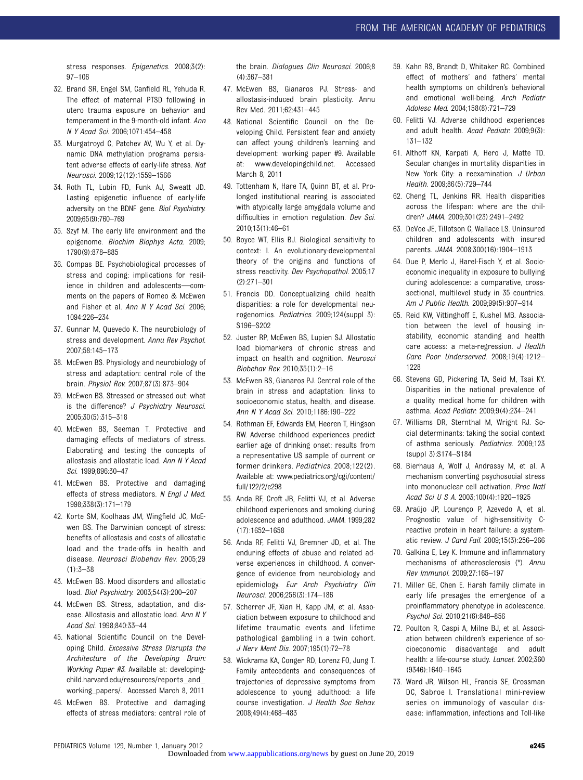stress responses. Epigenetics. 2008;3(2): 97–106

- 32. Brand SR, Engel SM, Canfield RL, Yehuda R. The effect of maternal PTSD following in utero trauma exposure on behavior and temperament in the 9-month-old infant. Ann N Y Acad Sci. 2006;1071:454–458
- 33. Murgatroyd C, Patchev AV, Wu Y, et al. Dynamic DNA methylation programs persistent adverse effects of early-life stress. Nat Neurosci. 2009;12(12):1559–1566
- 34. Roth TL, Lubin FD, Funk AJ, Sweatt JD. Lasting epigenetic influence of early-life adversity on the BDNF gene. Biol Psychiatry. 2009;65(9):760–769
- 35. Szyf M. The early life environment and the epigenome. Biochim Biophys Acta. 2009; 1790(9):878–885
- 36. Compas BE. Psychobiological processes of stress and coping: implications for resilience in children and adolescents—comments on the papers of Romeo & McEwen and Fisher et al. Ann N Y Acad Sci. 2006; 1094:226–234
- 37. Gunnar M, Quevedo K. The neurobiology of stress and development. Annu Rev Psychol. 2007;58:145–173
- 38. McEwen BS. Physiology and neurobiology of stress and adaptation: central role of the brain. Physiol Rev. 2007;87(3):873–904
- 39. McEwen BS. Stressed or stressed out: what is the difference? J Psychiatry Neurosci. 2005;30(5):315–318
- 40. McEwen BS, Seeman T. Protective and damaging effects of mediators of stress. Elaborating and testing the concepts of allostasis and allostatic load. Ann N Y Acad Sci. 1999;896:30–47
- 41. McEwen BS. Protective and damaging effects of stress mediators. N Engl J Med. 1998;338(3):171–179
- 42. Korte SM, Koolhaas JM, Wingfield JC, McEwen BS. The Darwinian concept of stress: benefits of allostasis and costs of allostatic load and the trade-offs in health and disease. Neurosci Biobehav Rev. 2005;29  $(1):3-38$
- 43. McEwen BS. Mood disorders and allostatic load. Biol Psychiatry. 2003;54(3):200–207
- 44. McEwen BS. Stress, adaptation, and disease. Allostasis and allostatic load. Ann N Y Acad Sci. 1998;840:33–44
- 45. National Scientific Council on the Developing Child. Excessive Stress Disrupts the Architecture of the Developing Brain: Working Paper #3. Available at: developingchild.harvard.edu/resources/reports\_and\_ working\_papers/. Accessed March 8, 2011
- 46. McEwen BS. Protective and damaging effects of stress mediators: central role of

the brain. Dialogues Clin Neurosci. 2006;8 (4):367–381

- 47. McEwen BS, Gianaros PJ. Stress- and allostasis-induced brain plasticity. Annu Rev Med. 2011;62:431–445
- 48. National Scientific Council on the Developing Child. Persistent fear and anxiety can affect young children's learning and development: working paper #9. Available at: www.developingchild.net. Accessed March 8, 2011
- 49. Tottenham N, Hare TA, Quinn BT, et al. Prolonged institutional rearing is associated with atypically large amygdala volume and difficulties in emotion regulation. Dev Sci. 2010;13(1):46–61
- 50. Boyce WT, Ellis BJ. Biological sensitivity to context: I. An evolutionary-developmental theory of the origins and functions of stress reactivity. Dev Psychopathol. 2005;17 (2):271–301
- 51. Francis DD. Conceptualizing child health disparities: a role for developmental neurogenomics. Pediatrics. 2009;124(suppl 3): S196–S202
- 52. Juster RP, McEwen BS, Lupien SJ. Allostatic load biomarkers of chronic stress and impact on health and cognition. Neurosci Biobehav Rev. 2010;35(1):2–16
- 53. McEwen BS, Gianaros PJ. Central role of the brain in stress and adaptation: links to socioeconomic status, health, and disease. Ann N Y Acad Sci. 2010;1186:190–222
- 54. Rothman EF, Edwards EM, Heeren T, Hingson RW. Adverse childhood experiences predict earlier age of drinking onset: results from a representative US sample of current or former drinkers. Pediatrics. 2008;122(2). Available at: www.pediatrics.org/cgi/content/ full/122/2/e298
- 55. Anda RF, Croft JB, Felitti VJ, et al. Adverse childhood experiences and smoking during adolescence and adulthood. JAMA. 1999;282 (17):1652–1658
- 56. Anda RF, Felitti VJ, Bremner JD, et al. The enduring effects of abuse and related adverse experiences in childhood. A convergence of evidence from neurobiology and epidemiology. Eur Arch Psychiatry Clin Neurosci. 2006;256(3):174–186
- 57. Scherrer JF, Xian H, Kapp JM, et al. Association between exposure to childhood and lifetime traumatic events and lifetime pathological gambling in a twin cohort. J Nerv Ment Dis. 2007;195(1):72–78
- 58. Wickrama KA, Conger RD, Lorenz FO, Jung T. Family antecedents and consequences of trajectories of depressive symptoms from adolescence to young adulthood: a life course investigation. J Health Soc Behav. 2008;49(4):468–483
- 59. Kahn RS, Brandt D, Whitaker RC. Combined effect of mothers' and fathers' mental health symptoms on children's behavioral and emotional well-being. Arch Pediatr Adolesc Med. 2004;158(8):721–729
- 60. Felitti VJ. Adverse childhood experiences and adult health. Acad Pediatr. 2009;9(3): 131–132
- 61. Althoff KN, Karpati A, Hero J, Matte TD. Secular changes in mortality disparities in New York City: a reexamination. J Urban Health. 2009;86(5):729–744
- 62. Cheng TL, Jenkins RR. Health disparities across the lifespan: where are the children? JAMA. 2009;301(23):2491–2492
- 63. DeVoe JE, Tillotson C, Wallace LS. Uninsured children and adolescents with insured parents. JAMA. 2008;300(16):1904–1913
- 64. Due P, Merlo J, Harel-Fisch Y, et al. Socioeconomic inequality in exposure to bullying during adolescence: a comparative, crosssectional, multilevel study in 35 countries. Am J Public Health. 2009;99(5):907–914
- 65. Reid KW, Vittinghoff E, Kushel MB. Association between the level of housing instability, economic standing and health care access: a meta-regression. J Health Care Poor Underserved. 2008;19(4):1212– 1228
- 66. Stevens GD, Pickering TA, Seid M, Tsai KY. Disparities in the national prevalence of a quality medical home for children with asthma. Acad Pediatr. 2009;9(4):234–241
- 67. Williams DR, Sternthal M, Wright RJ. Social determinants: taking the social context of asthma seriously. Pediatrics. 2009;123 (suppl 3):S174–S184
- 68. Bierhaus A, Wolf J, Andrassy M, et al. A mechanism converting psychosocial stress into mononuclear cell activation. Proc Natl Acad Sci U S A. 2003;100(4):1920–1925
- 69. Araújo JP, Lourenço P, Azevedo A, et al. Prognostic value of high-sensitivity Creactive protein in heart failure: a systematic review. J Card Fail. 2009;15(3):256-266
- 70. Galkina E, Ley K. Immune and inflammatory mechanisms of atherosclerosis (\*). Annu Rev Immunol. 2009;27:165–197
- 71. Miller GE, Chen E. Harsh family climate in early life presages the emergence of a proinflammatory phenotype in adolescence. Psychol Sci. 2010;21(6):848–856
- 72. Poulton R, Caspi A, Milne BJ, et al. Association between children's experience of socioeconomic disadvantage and adult health: a life-course study. Lancet. 2002;360 (9346):1640–1645
- 73. Ward JR, Wilson HL, Francis SE, Crossman DC, Sabroe I. Translational mini-review series on immunology of vascular disease: inflammation, infections and Toll-like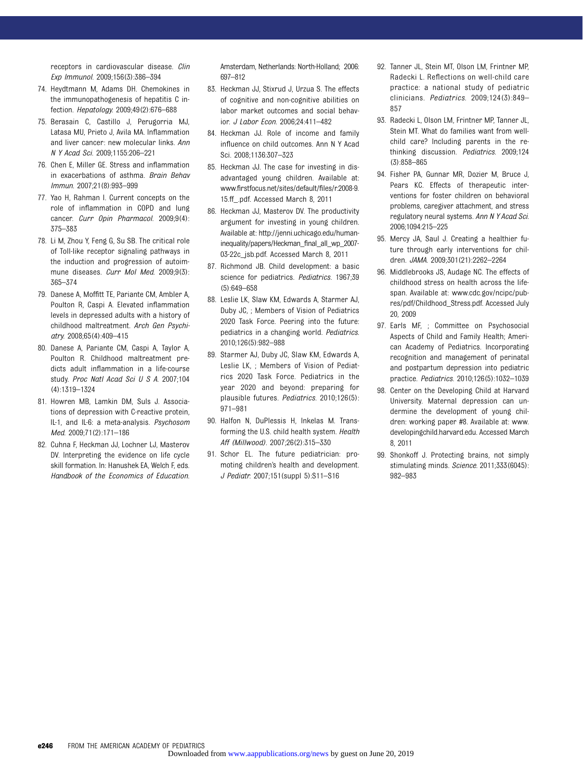receptors in cardiovascular disease. Clin Exp Immunol. 2009;156(3):386–394

- 74. Heydtmann M, Adams DH. Chemokines in the immunopathogenesis of hepatitis C infection. Hepatology. 2009;49(2):676–688
- 75. Berasain C, Castillo J, Perugorria MJ, Latasa MU, Prieto J, Avila MA. Inflammation and liver cancer: new molecular links. Ann N Y Acad Sci. 2009;1155:206–221
- 76. Chen E, Miller GE. Stress and inflammation in exacerbations of asthma. Brain Behav Immun. 2007;21(8):993–999
- 77. Yao H, Rahman I. Current concepts on the role of inflammation in COPD and lung cancer. Curr Opin Pharmacol. 2009;9(4): 375–383
- 78. Li M, Zhou Y, Feng G, Su SB. The critical role of Toll-like receptor signaling pathways in the induction and progression of autoimmune diseases. Curr Mol Med. 2009;9(3): 365–374
- 79. Danese A, Moffitt TE, Pariante CM, Ambler A, Poulton R, Caspi A. Elevated inflammation levels in depressed adults with a history of childhood maltreatment. Arch Gen Psychiatry. 2008;65(4):409–415
- 80. Danese A, Pariante CM, Caspi A, Taylor A, Poulton R. Childhood maltreatment predicts adult inflammation in a life-course study. Proc Natl Acad Sci U S A. 2007;104 (4):1319–1324
- 81. Howren MB, Lamkin DM, Suls J. Associations of depression with C-reactive protein, IL-1, and IL-6: a meta-analysis. Psychosom Med. 2009;71(2):171–186
- 82. Cuhna F, Heckman JJ, Lochner LJ, Masterov DV. Interpreting the evidence on life cycle skill formation. In: Hanushek EA, Welch F, eds. Handbook of the Economics of Education.

Amsterdam, Netherlands: North-Holland; 2006: 697–812

- 83. Heckman JJ, Stixrud J, Urzua S. The effects of cognitive and non-cognitive abilities on labor market outcomes and social behavior. J Labor Econ. 2006;24:411–482
- 84. Heckman JJ. Role of income and family influence on child outcomes. Ann N Y Acad Sci. 2008;1136:307–323
- 85. Heckman JJ. The case for investing in disadvantaged young children. Available at: www.firstfocus.net/sites/default/files/r.2008-9. 15.ff\_.pdf. Accessed March 8, 2011
- 86. Heckman JJ, Masterov DV. The productivity argument for investing in young children. Available at: http://jenni.uchicago.edu/humaninequality/papers/Heckman\_final\_all\_wp\_2007- 03-22c\_jsb.pdf. Accessed March 8, 2011
- 87. Richmond JB. Child development: a basic science for pediatrics. Pediatrics. 1967;39 (5):649–658
- 88. Leslie LK, Slaw KM, Edwards A, Starmer AJ, Duby JC, ; Members of Vision of Pediatrics 2020 Task Force. Peering into the future: pediatrics in a changing world. Pediatrics. 2010;126(5):982–988
- 89. Starmer AJ, Duby JC, Slaw KM, Edwards A, Leslie LK, ; Members of Vision of Pediatrics 2020 Task Force. Pediatrics in the year 2020 and beyond: preparing for plausible futures. Pediatrics. 2010;126(5): 971–981
- 90. Halfon N, DuPlessis H, Inkelas M. Transforming the U.S. child health system. Health Aff (Millwood). 2007;26(2):315–330
- 91. Schor EL. The future pediatrician: promoting children's health and development. J Pediatr. 2007;151(suppl 5):S11–S16
- 92. Tanner JL, Stein MT, Olson LM, Frintner MP, Radecki L. Reflections on well-child care practice: a national study of pediatric clinicians. Pediatrics. 2009;124(3):849– 857
- 93. Radecki L, Olson LM, Frintner MP, Tanner JL, Stein MT. What do families want from wellchild care? Including parents in the rethinking discussion. Pediatrics. 2009;124 (3):858–865
- 94. Fisher PA, Gunnar MR, Dozier M, Bruce J, Pears KC. Effects of therapeutic interventions for foster children on behavioral problems, caregiver attachment, and stress regulatory neural systems. Ann N Y Acad Sci. 2006;1094:215–225
- 95. Mercy JA, Saul J. Creating a healthier future through early interventions for children. JAMA. 2009;301(21):2262–2264
- 96. Middlebrooks JS, Audage NC. The effects of childhood stress on health across the lifespan. Available at: www.cdc.gov/ncipc/pubres/pdf/Childhood\_Stress.pdf. Accessed July 20, 2009
- 97. Earls MF, ; Committee on Psychosocial Aspects of Child and Family Health; American Academy of Pediatrics. Incorporating recognition and management of perinatal and postpartum depression into pediatric practice. Pediatrics. 2010;126(5):1032–1039
- 98. Center on the Developing Child at Harvard University. Maternal depression can undermine the development of young children: working paper #8. Available at: www. developingchild.harvard.edu. Accessed March 8, 2011
- 99. Shonkoff J. Protecting brains, not simply stimulating minds. Science. 2011;333(6045): 982–983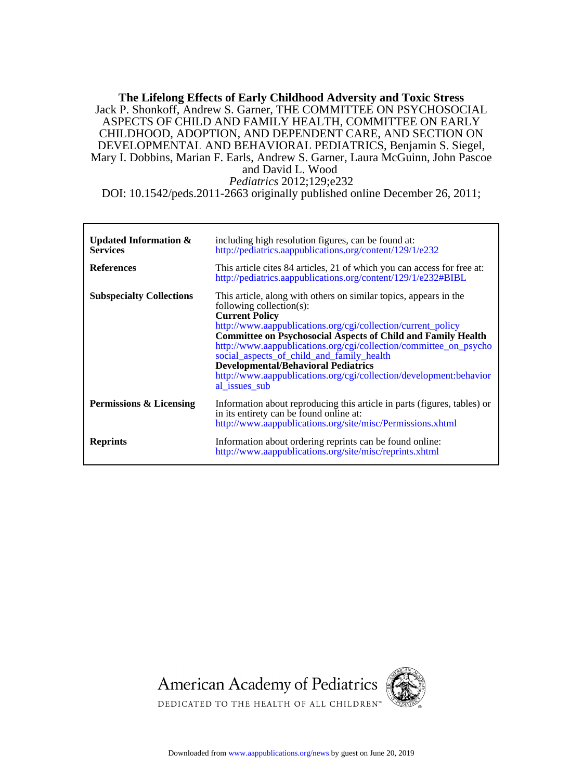# DOI: 10.1542/peds.2011-2663 originally published online December 26, 2011; *Pediatrics* 2012;129;e232 and David L. Wood Mary I. Dobbins, Marian F. Earls, Andrew S. Garner, Laura McGuinn, John Pascoe DEVELOPMENTAL AND BEHAVIORAL PEDIATRICS, Benjamin S. Siegel, CHILDHOOD, ADOPTION, AND DEPENDENT CARE, AND SECTION ON ASPECTS OF CHILD AND FAMILY HEALTH, COMMITTEE ON EARLY Jack P. Shonkoff, Andrew S. Garner, THE COMMITTEE ON PSYCHOSOCIAL **The Lifelong Effects of Early Childhood Adversity and Toxic Stress**

| Updated Information $\&$<br><b>Services</b><br><b>References</b> | including high resolution figures, can be found at:<br>http://pediatrics.aappublications.org/content/129/1/e232<br>This article cites 84 articles, 21 of which you can access for free at:<br>http://pediatrics.aappublications.org/content/129/1/e232#BIBL                                                                                                                                                                                                                                                          |
|------------------------------------------------------------------|----------------------------------------------------------------------------------------------------------------------------------------------------------------------------------------------------------------------------------------------------------------------------------------------------------------------------------------------------------------------------------------------------------------------------------------------------------------------------------------------------------------------|
| <b>Subspecialty Collections</b>                                  | This article, along with others on similar topics, appears in the<br>following collection(s):<br><b>Current Policy</b><br>http://www.aappublications.org/cgi/collection/current_policy<br><b>Committee on Psychosocial Aspects of Child and Family Health</b><br>http://www.aappublications.org/cgi/collection/committee_on_psycho<br>social_aspects_of_child_and_family_health<br><b>Developmental/Behavioral Pediatrics</b><br>http://www.aappublications.org/cgi/collection/development:behavior<br>al issues sub |
| Permissions & Licensing                                          | Information about reproducing this article in parts (figures, tables) or<br>in its entirety can be found online at:<br>http://www.aappublications.org/site/misc/Permissions.xhtml                                                                                                                                                                                                                                                                                                                                    |
| <b>Reprints</b>                                                  | Information about ordering reprints can be found online:<br>http://www.aappublications.org/site/misc/reprints.xhtml                                                                                                                                                                                                                                                                                                                                                                                                  |